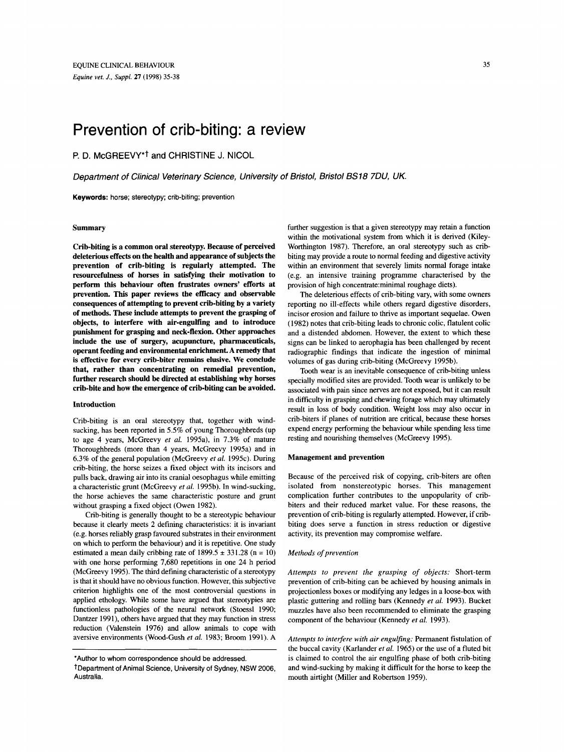# **Prevention of crib-biting: a review**

## **P. D. McGREEVY\*t and** CHRISTINE J. NICOL

*Department of Clinical Veterinary Science, University of Bristol, Bristol BS18 7DU, UK.* 

**Keywords: horse; stereotypy; crib-biting; prevention** 

#### **Summary**

**Crib-biting is a common oral stereotypy. Because of perceived deleterious effects on the health and appearance of subjects the prevention of crib-biting is regularly attempted. The resourcefulness of horses in satisfying their motivation to perform this behaviour often frustrates owners' efforts at prevention. This paper reviews the efficacy and observable consequences of attempting to prevent crib-biting by a variety of methods. These include attempts to prevent the grasping of objects, to interfere with air-engulfing and to introduce punishment for grasping and neck-flexion. Other approaches include the use of surgery, acupuncture, pharmaceuticals, operant feeding and environmental enrichment. A remedy that is effective for every crib-biter remains elusive. We conclude that, rather than concentrating on remedial prevention, further research should be directed at establishing why horses crib-bite and how the emergence of crib-biting can be avoided.** 

#### **Introduction**

Crib-biting is an oral stereotypy that, together with windsucking, has been reported in 5.5% of young Thoroughbreds (up to age 4 years, McGreevy *et* al. 1995a), in 7.3% of mature Thoroughbreds (more than 4 years, McGreevy 1995a) and in 6.3% of the general population (McGreevy et al. 1995c). During crib-biting, the horse seizes a fixed object with its incisors and pulls back, drawing air into its cranial oesophagus while emitting a characteristic grunt (McGreevy *et* al. 1995b). In wind-sucking, the horse achieves the same characteristic posture and grunt without grasping a fixed object (Owen 1982).

Crib-biting is generally thought to be a stereotypic behaviour because it clearly meets 2 defining characteristics: it is invariant (e.g. horses reliably grasp favoured substrates in their environment on which to perform the behaviour) and it is repetitive. One study estimated a mean daily cribbing rate of  $1899.5 \pm 331.28$  (n = 10) with one horse performing 7,680 repetitions in one 24 h period (McGreevy 1995). The third defining characteristic of a stereotypy is that it should have no obvious function. However, this subjective criterion highlights one of the most controversial questions in applied ethology. While some have argued that stereotypies are functionless pathologies of the neural network (Stoessl 1990; Dantzer 1991), others have argued that they may function in stress reduction (Valenstein 1976) and allow animals to cope with aversive environments (Wood-Gush *et al.* 1983; Broom 1991). A further suggestion is that a given stereotypy may retain a function within the motivational system from which it is derived (Kiley-Worthington 1987). Therefore, an oral stereotypy such as cribbiting may provide a route to normal feeding and digestive activity within an environment that severely limits normal forage intake (e.g. an intensive training programme characterised by the provision of high concentrate: minimal roughage diets).

The deleterious effects of crib-biting vary, with some owners reporting no ill-effects while others regard digestive disorders, incisor erosion and failure to thrive as important sequelae. Owen (1982) notes that crib-biting leads to chronic colic, flatulent colic and a distended abdomen. However, the extent to which these signs can be linked to aerophagia has been challenged by recent radiographic findings that indicate the ingestion of minimal volumes of gas during crib-biting (McGreevy 1995b).

Tooth wear is an inevitable consequence of crib-biting unless specially modified sites are provided. Tooth wear is unlikely to be associated with pain since nerves are not exposed, but it can result in difficulty in grasping and chewing forage which may ultimately result in loss of body condition. Weight loss may also occur in crib-biters if planes of nutrition are critical, because these horses expend energy performing the behaviour while spending less time resting and nourishing themselves (McGreevy 1995).

### **Management and prevention**

Because of the perceived risk of copying, crib-biters are often isolated from nonstereotypic horses. This management complication further contributes to the unpopularity of cribbiters and their reduced market value. For these reasons, the prevention of crib-biting is regularly attempted. However, if cribbiting does serve a function in stress reduction or digestive activity, its prevention may compromise welfare.

#### *Methods of prevention*

*Attempts to prevent the grasping* of *objects:* Short-term prevention of crib-biting can be achieved by housing animals in projectionless boxes or modifying any ledges in a loose-box with plastic guttering and rolling bars (Kennedy *et al.* 1993). Bucket muzzles have also been recommended to eliminate the grasping component of the behaviour (Kennedy *et* al. 1993).

Attempts to interfere with air engulfing: Permanent fistulation of the buccal cavity (Karlander *et* al. 1965) or the use of a fluted bit is claimed to control the air engulfing phase of both crib-biting and wind-sucking by making it difficult for the horse to keep the mouth airtight (Miller and Robertson 1959).

**<sup>\*</sup>Author to whom correspondence should be addressed.** 

**<sup>?</sup>Department of Animal Science, University of Sydney, NSW 2006, Australia.**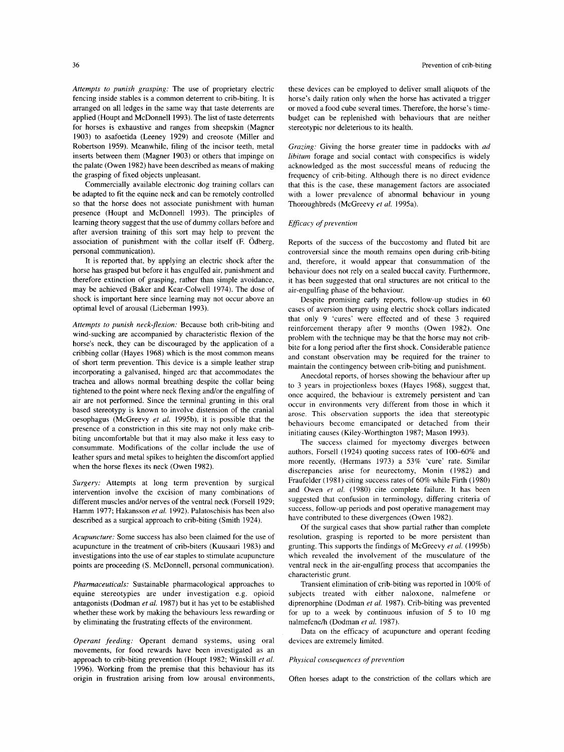*Attempts to punish grasping:* The use of proprietary electric fencing inside stables is a common deterrent to crib-biting. It is arranged on all ledges in the same way that taste deterrents are applied (Houpt and McDonnell 1993). The list of taste deterrents for horses is exhaustive and ranges from sheepskin (Magner 1903) to asafoetida (Leeney 1929) and creosote (Miller and Robertson 1959). Meanwhile, filing of the incisor teeth, metal inserts between them (Magner 1903) or others that impinge on the palate (Owen 1982) have been described as means of making the grasping of fixed objects unpleasant.

Commercially available electronic dog training collars can be adapted to fit the equine neck and can be remotely controlled so that the horse does not associate punishment with human presence (Houpt and McDonnell 1993). The principles of learning theory suggest that the use of dummy collars before and after aversion training of this sort may help to prevent the association of punishment with the collar itself (F. Odberg, personal communication).

It is reported that, by applying an electric shock after the horse has grasped but before it has engulfed air, punishment and therefore extinction of grasping, rather than simple avoidance, may be achieved (Baker and Kear-Colwell 1974). The dose of shock is important here since learning may not occur above an optimal level of arousal (Lieberman 1993).

*Attempts to punish neck-flexion:* Because both crib-biting and wind-sucking are accompanied by characteristic flexion of the horse's neck, they can be discouraged by the application of a cribbing collar (Hayes 1968) which is the most common means of short term prevention. This device is a simple leather strap incorporating a galvanised, hinged arc that accommodates the trachea and allows normal breathing despite the collar being tightened to the point where neck flexing and/or the engulfing of air are not performed. Since the terminal grunting in this oral based stereotypy is known to involve distension of the cranial oesophagus (McGreevy *et ul.* 1995b), it is possible that the presence of a constriction in this site may not only make cribbiting uncomfortable but that it may also make it less easy to consummate. Modifications of the collar include the use of leather spurs and metal spikes to heighten the discomfort applied when the horse flexes its neck (Owen 1982).

*Surgery:* Attempts at long term prevention by surgical intervention involve the excision of many combinations of different muscles and/or nerves of the ventral neck (Forsell 1929; Hamm 1977; Hakansson *et al.* 1992). Palatoschisis has been also described as a surgical approach to crib-biting (Smith 1924).

*Acupuncture:* Some success has also been claimed for the use of acupuncture in the treatment of crib-biters (Kuusaari 1983) and investigations into the use of ear staples to stimulate acupuncture points are proceeding (S. McDonnell, personal communication).

*Pharmaceuticals:* Sustainable pharmacological approaches to equine stereotypies are under investigation e.g. opioid antagonists (Dodman *et al.* 1987) but it has yet to be established whether these work by making the behaviours less rewarding or by eliminating the frustrating effects of the environment.

*Operant feeding:* Operant demand systems, using oral movements, for food rewards have been investigated as an approach to crib-biting prevention (Houpt 1982; Winskill *et al.*  1996). Working from the premise that this behaviour has its origin in frustration arising from low arousal environments,

these devices can be employed to deliver small aliquots of the horse's daily ration only when the horse has activated a trigger or moved a food cube several times. Therefore, the horse's timebudget can be replenished with behaviours that are neither stereotypic nor deleterious to its health.

*Grazing:* Giving the horse greater time in paddocks with *ad libitum* forage and social contact with conspecifics is widely acknowledged as the most successful means of reducing the frequency of crib-biting. Although there is no direct evidence that this is the case, these management factors are associated with a lower prevalence of abnormal behaviour in young Thoroughbreds (McGreevy *et al.* 1995a).

#### *EfJicacy of prevention*

Reports of the success of the buccostomy and fluted bit are controversial since the mouth remains open during crib-biting and, therefore, it would appear that consummation of the behaviour does not rely on a sealed buccal cavity. Furthermore, it has been suggested that oral structures are not critical to the air-engulfing phase of the behaviour.

Despite promising early reports, follow-up studies in 60 cases of aversion therapy using electric shock collars indicated that only 9 'cures' were effected and of these 3 required reinforcement therapy after 9 months (Owen 1982). One problem with the technique may be that the horse may not cribbite for a long period after the first shock. Considerable patience and constant observation may be required for the trainer to maintain the contingency between crib-biting and punishment.

Anecdotal reports, of horses showing the behaviour after up to 3 years in projectionless boxes (Hayes 1968), suggest that, once acquired, the behaviour is extremely persistent and can occur in environments very different from those in which it arose. This observation supports the idea that stereotypic behaviours become emancipated or detached from their initiating causes (Kiley-Worthington 1987; Mason 1993).

The success claimed for myectomy diverges between authors, Forsell (1924) quoting success rates of 100-60% and more recently, (Hermans 1973) a 53% 'cure' rate. Similar discrepancies arise for neurectomy, Monin (1982) and Fraufelder (1981) citing success rates of 60% while Firth (1980) and Owen *et al.* (1980) cite complete failure. It has been suggested that confusion in terminology, differing criteria of success, follow-up periods and post operative management may have contributed to these divergences (Owen 1982).

Of the surgical cases that show partial rather than complete resolution, grasping is reported to be more persistent than grunting. This supports the findings of McGreevy *et al.* (1995b) which revealed the involvement of the musculature of the ventral neck in the air-engulfing process that accompanies the characteristic grunt.

Transient elimination of crib-biting was reported in 100% of subjects treated with either naloxone, nalmefene or diprenorphine (Dodman *et al.* 1987). Crib-biting was prevented for up to a week by continuous infusion of *5* to **10** mg nalmefeneh (Dodman *et al.* 1987).

Data on the efficacy of acupuncture and operant feeding devices are extremely limited.

#### *Physical consequences of prevention*

Often horses adapt to the constriction of the collars which are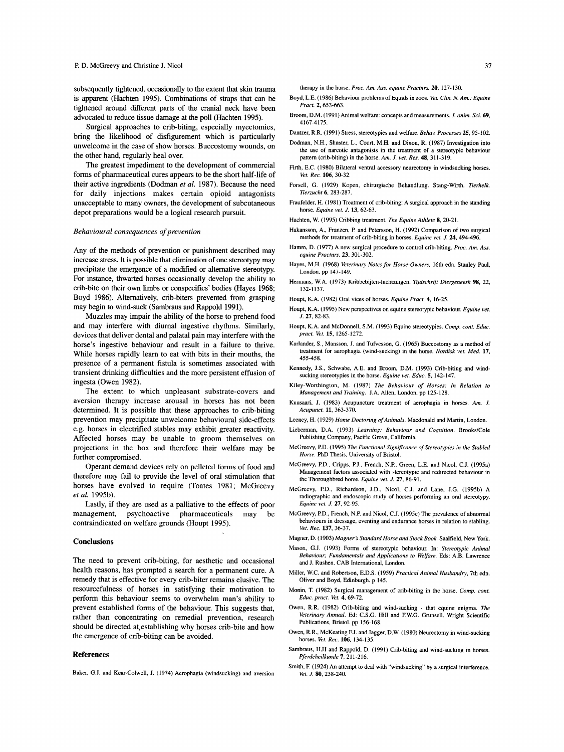subsequently tightened, occasionally to the extent that **skin** trauma is apparent (Hachten 1995). Combinations of straps that can be tightened around different parts of the cranial **neck** have been advocated to reduce tissue damage at the poll (Hachten 1995).

Surgical approaches to crib-biting, especially myectomies, bring the likelihood of disfigurement which is particularly unwelcome in the case of show horses. Buccostomy wounds, on the other hand, regularly heal over.

The greatest impediment to the development of commercial forms of pharmaceutical cures appears to be the short half-life of their active ingredients (Dodman *et al.* 1987). Because the need for daily injections makes certain opioid antagonists unacceptable to many owners, the development of subcutaneous depot preparations would be a logical research pursuit.

#### *Behavioural consequences of prevention*

Any of the methods of prevention or punishment described may increase stress. It is possible that elimination of one stereotypy may precipitate the emergence of a modified or alternative stereotypy. For instance, thwarted horses occasionally develop the ability to crib-bite **on** their own limbs or conspecifics' bodies (Hayes 1968; Boyd 1986). Alternatively, crib-biters prevented from grasping may begin to wind-suck (Sambraus and Rappold 1991).

Muzzles may impair the ability of the horse to prehend food and may interfere with diurnal ingestive rhythms. Similarly, devices that deliver dental and palatal pain may interfere with the horse's ingestive behaviour and result in a failure to thrive. While horses rapidly leam to eat with bits in their mouths, the presence of a permanent fistula is sometimes associated with transient drinking difficulties and the more persistent effusion of ingesta (Owen 1982).

The extent to which unpleasant substrate-covers and aversion therapy increase arousal in horses has not been determined. It is possible that these approaches to crib-biting prevention may precipitate unwelcome behavioural side-effects e.g. horses in electrified stables may exhibit greater reactivity. Affected horses may be unable to groom themselves on projections in the box and therefore their welfare may be further compromised.

Operant demand devices rely on pelleted forms of food and therefore may fail to provide the level of oral stimulation that horses have evolved to require (Toates 1981; McGreevy *et al.* 1995b).

Lastly, if they are used as a palliative to the effects of poor management, psychoactive pharmaceuticals may be contraindicated on welfare grounds (Houpt 1995).

#### **Conclusions**

The need to prevent crib-biting, for aesthetic and occasional health reasons, has prompted a search for a permanent cure. A remedy that is effective for every crib-biter remains elusive. The resourcefulness of horses in satisfying their motivation to perform this behaviour seems to overwhelm man's ability to prevent established forms of the behaviour. This suggests that, rather than concentrating on remedial prevention, research should be directed at,establishing why horses crib-bite and how the emergence of crib-biting can be avoided.

#### **References**

Baker, G.J. and Kear-Colwell, **I.** (1974) Aerophagia (windsucking) and aversion

therapy in the horse. *Proc. Am. Ass. equine Pracfnrs.* 20, 127-130

- *Pracf.* 2, 653-663. Boyd, L.E. (1986) Behaviour problems of Equids in zoos. *Vet Clin. N. Am.: Equine*
- 4 167.41 75. Broom, D.M. (1991) Animal welfare: concepts and measurements. *J. anim. Sci.* 69,

Dantzer, R.R. (1991) Stress, stereotypies and welfare. *Behav.* Processes 25,95-102.

- Dodman, N.H., Shuster, L., Court, M.H. and Dixon, R. (1987) Investigation into the use of narcotic antagonists in the treatment of a stereotypic behaviour pattern (crib-biting) in the horse. *Am. J. vet. Res.* **48,** 311-319.
- Firth, E.C. (1980) Bilateral ventral accessory neurectomy in windsucking horses. *Vet.* Rec. **106,** 30-32.
- Forsell, *G.* (1929) Kopen, chirurgische Behandlung. Stang-Wirth. *Tierhelk. Tierzucht* **6,** 283-287.
- Fraufelder, H. (1981) Treatment of crib-biting: A surgical approach in the standing horse. *Equine vet. J.* 13, 62-63.
- Hachten, W. (1995) Cribbing treatment. *The Equine Afhlete* **8,** 20-21
- Hakansson, A,, Franzen, P. and Petersson, H. (1992) Comparison of two surgical methods for treatment of crib-biting in horses. *Equine vet. J.* 24, 494-496.
- Hamm, D. (1977) A new surgical procedure to control crib-biting. *Pmc. Am. Ass. equine Practnrs.* 23, 301-302.
- Hayes, M.H. (1968) *Veterinary Nofes* for *Horse-Owners,* 16th edn. Stanley Paul, London. pp 147.149.
- Hermans, W.A. (1973) **Kribbehijten-luchtzuigen.** *Tijdschrij? Diergeneesk* **98,** 22, 132-1 137.
- Houpt, K.A. (1982) Oral vices of horses. *Equine Pruct.* **4,** 16-25.
- Houpt, K.A. (1995) New perspectives on equine stereotypic hehaviour. *Equine vef. J.* **27,** 82-83.
- Houpt, K.A. and McDonnell, S.M. (1993) Equine stereotypies. *Comp. cont. Educ. pract. Vet.* **15,** 1265-1272.
- Karlander, S., Mansson, **1.** and Tufvesson, *G.* (1965) Buccostomy as a method of treatment for aerophagia (wind-sucking) in the horse. *Nordisk vet. Med.* **17,**  455-458.
- Kennedy, J.S., Schwabe, A.E. and Broom, D.M. (1993) Crib-biting and windsucking stereotypies in the horse. *Equine vet. Educ. 5,* 142-147.
- Kiley-Worthington, M. (1987) *The Behaviour of Horses: In Relation fo Management and Training.* J.A. Allen, London. pp 125-128.
- Kuusaari, **J.** (1983) Acupuncture treatment of aerophagia in horses. *Am. J. Acupunct.* **11,** 363-370.
- Leeney, H. (1929) *Home Doctoring of Animals.* Macdonald and Martin, London.
- Lieberman, D.A. (1993) *Learning: Behaviour and Cognition.* Brooks/Cole Publishing Company, Pacific Grove, California.
- McGreevy, P.D. (1995) *The Functional Significance of Stereotypies in the Stabled Horse.* PhD Thesis, University of Bristol.
- McGreevy, P.D., Cripps, P.J., French, N.P., Green, L.E. and Nicol, C.J. (1995a) Management factors associated with stereotypic and redirected behaviour in the Thoroughbred horse. *Equine vet. J.* 27, 86-91.
- McCreevy, P.D., Richardson, J.D., Nicol, C.J. and Lane, J.G. (1995b) A radiographic and endoscopic study of horses performing an oral stereotypy. *Equine vet. J.* 27, 92-95.
- McGreevy, P.D., French, N.P. and Nicol, C.J. (1995c) The prevalence of abnormal hehaviours in dressage, eventing and endurance horses in relation to stabling. Vet. Rec. **137,** 36-37.
- Magner, D. ( 1903) *Magner* 's *Standard Horse and Stock Book.* Saalfield, New York.
- Mason, G.J. (1993) Forms of stereotypic behaviour. In: *Stereotypic Animal Behaviour; Fundamentals and Applications to Welfare.* Eds: A.B. Lawrence and J. Rushen. CAB International, London.
- Miller, W.C. and Robertson, E.D.S. (1959) *Practical Animal Husbandry,* 7th edn. Oliver and Boyd, Edinburgh. p 145.
- Monin, T. (1982) Surgical management of crib-biting in the horse. *Comp. conf. Educ. pract. Vet.* **4,** 69-72.
- Owen, R.R. (1982) Crib-biting and wind-sucking that equine enigma. *The Veterinary Annual.* Ed: C.S.G. Hill and F.W.G. Grunsell. Wright Scientific Publications, Bristol. pp 156-168.
- Owen, R.R., McKeating **EJ.** and Jagger, D.W. (1980) Neurectomy in wind-sucking horses. Vet. Rec. **106,** 134-135.
- Sambraus, H.H and Rappold, D. (1991) Crib-biting and wind-sucking in horses. *Pferdeheilkunde* 7, 211-216.
- Smith, F. (1924) An attempt to deal with "windsucking" by a surgical interference. *Vet. J. 80,* 238-240.